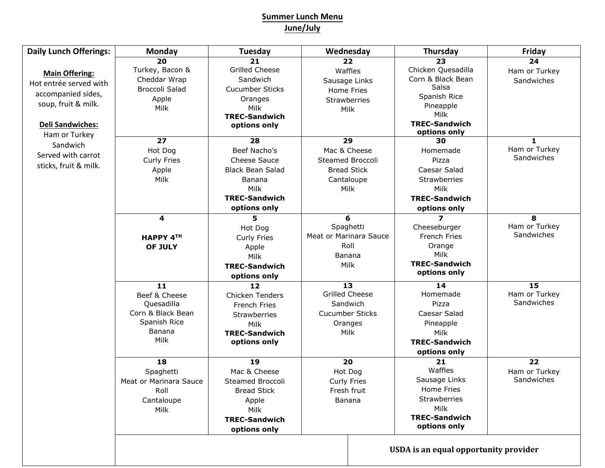## **Summer Lunch Menu June/July**

| <b>Daily Lunch Offerings:</b> | Monday                                | <b>Tuesday</b>          | Wednesday              | Thursday                     | Friday        |  |
|-------------------------------|---------------------------------------|-------------------------|------------------------|------------------------------|---------------|--|
|                               | 20                                    | 21                      | 22                     | 23                           | 24            |  |
| <b>Main Offering:</b>         | Turkey, Bacon &                       | <b>Grilled Cheese</b>   | Waffles                | Chicken Quesadilla           | Ham or Turkey |  |
| Hot entrée served with        | Cheddar Wrap                          | Sandwich                | Sausage Links          | Corn & Black Bean            | Sandwiches    |  |
| accompanied sides,            | <b>Broccoli Salad</b>                 | <b>Cucumber Sticks</b>  | Home Fries             | Salsa                        |               |  |
| soup, fruit & milk.           | Apple                                 | Oranges                 | Strawberries           | Spanish Rice<br>Pineapple    |               |  |
|                               | Milk                                  | Milk                    | Milk                   | Milk                         |               |  |
| <b>Deli Sandwiches:</b>       |                                       | <b>TREC-Sandwich</b>    |                        | <b>TREC-Sandwich</b>         |               |  |
|                               |                                       | options only            |                        | options only                 |               |  |
| Ham or Turkey                 | 27                                    | 28                      | 29                     | 30                           | 1             |  |
| Sandwich                      | Hot Dog                               | Beef Nacho's            | Mac & Cheese           | Homemade                     | Ham or Turkey |  |
| Served with carrot            | <b>Curly Fries</b>                    | <b>Cheese Sauce</b>     | Steamed Broccoli       | Pizza                        | Sandwiches    |  |
| sticks, fruit & milk.         | Apple                                 | <b>Black Bean Salad</b> | <b>Bread Stick</b>     | Caesar Salad                 |               |  |
|                               | Milk                                  | <b>Banana</b>           | Cantaloupe             | Strawberries                 |               |  |
|                               |                                       | Milk                    | Milk                   | Milk                         |               |  |
|                               |                                       | <b>TREC-Sandwich</b>    |                        | <b>TREC-Sandwich</b>         |               |  |
|                               |                                       | options only            |                        | options only                 |               |  |
|                               | 4                                     | 5.                      | 6                      | $\overline{\mathbf{z}}$      | 8             |  |
|                               |                                       | Hot Dog                 | Spaghetti              | Cheeseburger                 | Ham or Turkey |  |
|                               | HAPPY 4TH                             | Curly Fries             | Meat or Marinara Sauce | French Fries                 | Sandwiches    |  |
|                               | OF JULY                               | Apple                   | Roll                   | Orange                       |               |  |
|                               |                                       | Milk                    | Banana                 | Milk                         |               |  |
|                               |                                       | <b>TREC-Sandwich</b>    | Milk                   | <b>TREC-Sandwich</b>         |               |  |
|                               |                                       | options only            |                        | options only                 |               |  |
|                               | 11                                    | 12                      | 13                     | 14                           | 15            |  |
|                               | Beef & Cheese                         | Chicken Tenders         | <b>Grilled Cheese</b>  | Homemade                     | Ham or Turkey |  |
|                               | Quesadilla                            | French Fries            | Sandwich               | Pizza                        | Sandwiches    |  |
|                               | Corn & Black Bean                     | Strawberries            | Cucumber Sticks        | Caesar Salad                 |               |  |
|                               | Spanish Rice                          | Milk                    | Oranges                | Pineapple                    |               |  |
|                               | Banana                                | <b>TREC-Sandwich</b>    | Milk                   | Milk                         |               |  |
|                               | Milk                                  | options only            |                        | <b>TREC-Sandwich</b>         |               |  |
|                               |                                       |                         |                        | options only                 |               |  |
|                               | 18                                    | 19                      | 20                     | 21                           | 22            |  |
|                               | Spaghetti                             | Mac & Cheese            | Hot Dog                | Waffles                      | Ham or Turkey |  |
|                               | Meat or Marinara Sauce                | Steamed Broccoli        | Curly Fries            | Sausage Links                | Sandwiches    |  |
|                               | Roll                                  | <b>Bread Stick</b>      | Fresh fruit            | Home Fries                   |               |  |
|                               | Cantaloupe                            | Apple                   | Banana                 | Strawberries                 |               |  |
|                               | Milk                                  | Milk                    |                        | Milk<br><b>TREC-Sandwich</b> |               |  |
|                               |                                       | <b>TREC-Sandwich</b>    |                        | options only                 |               |  |
|                               |                                       | options only            |                        |                              |               |  |
|                               |                                       |                         |                        |                              |               |  |
|                               | USDA is an equal opportunity provider |                         |                        |                              |               |  |